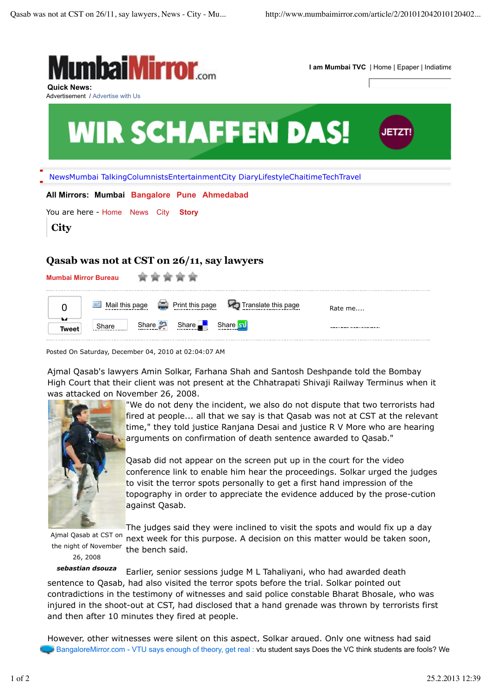

Posted On Saturday, December 04, 2010 at 02:04:07 AM

Ajmal Qasab's lawyers Amin Solkar, Farhana Shah and Santosh Deshpande told the Bombay High Court that their client was not present at the Chhatrapati Shivaji Railway Terminus when it was attacked on November 26, 2008.



"We do not deny the incident, we also do not dispute that two terrorists had fired at people... all that we say is that Qasab was not at CST at the relevant time," they told justice Ranjana Desai and justice R V More who are hearing arguments on confirmation of death sentence awarded to Qasab."

Qasab did not appear on the screen put up in the court for the video conference link to enable him hear the proceedings. Solkar urged the judges to visit the terror spots personally to get a first hand impression of the topography in order to appreciate the evidence adduced by the prose-cution against Qasab.

Ajmal Qasab at CST on the night of November 26, 2008

The judges said they were inclined to visit the spots and would fix up a day next week for this purpose. A decision on this matter would be taken soon, the bench said.

*sebastian dsouza* Earlier, senior sessions judge M L Tahaliyani, who had awarded death sentence to Qasab, had also visited the terror spots before the trial. Solkar pointed out contradictions in the testimony of witnesses and said police constable Bharat Bhosale, who was injured in the shoot-out at CST, had disclosed that a hand grenade was thrown by terrorists first and then after 10 minutes they fired at people.

However, other witnesses were silent on this aspect, Solkar argued. Only one witness had said BangaloreMirror.com - VTU says enough of theory, get real : vtu student says Does the VC think students are fools? We